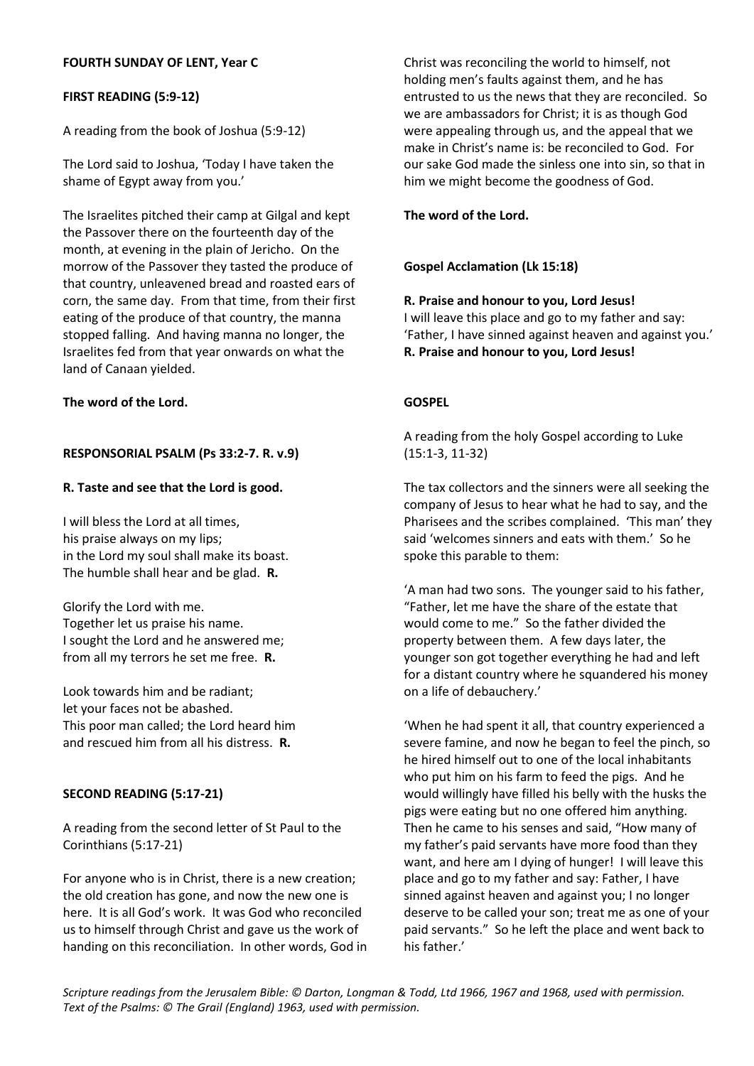# **FOURTH SUNDAY OF LENT, Year C**

## **FIRST READING (5:9-12)**

A reading from the book of Joshua (5:9-12)

The Lord said to Joshua, 'Today I have taken the shame of Egypt away from you.'

The Israelites pitched their camp at Gilgal and kept the Passover there on the fourteenth day of the month, at evening in the plain of Jericho. On the morrow of the Passover they tasted the produce of that country, unleavened bread and roasted ears of corn, the same day. From that time, from their first eating of the produce of that country, the manna stopped falling. And having manna no longer, the Israelites fed from that year onwards on what the land of Canaan yielded.

### **The word of the Lord.**

### **RESPONSORIAL PSALM (Ps 33:2-7. R. v.9)**

### **R. Taste and see that the Lord is good.**

I will bless the Lord at all times, his praise always on my lips; in the Lord my soul shall make its boast. The humble shall hear and be glad. **R.**

Glorify the Lord with me. Together let us praise his name. I sought the Lord and he answered me; from all my terrors he set me free. **R.**

Look towards him and be radiant; let your faces not be abashed. This poor man called; the Lord heard him and rescued him from all his distress. **R.**

### **SECOND READING (5:17-21)**

A reading from the second letter of St Paul to the Corinthians (5:17-21)

For anyone who is in Christ, there is a new creation; the old creation has gone, and now the new one is here. It is all God's work. It was God who reconciled us to himself through Christ and gave us the work of handing on this reconciliation. In other words, God in Christ was reconciling the world to himself, not holding men's faults against them, and he has entrusted to us the news that they are reconciled. So we are ambassadors for Christ; it is as though God were appealing through us, and the appeal that we make in Christ's name is: be reconciled to God. For our sake God made the sinless one into sin, so that in him we might become the goodness of God.

**The word of the Lord.**

## **Gospel Acclamation (Lk 15:18)**

#### **R. Praise and honour to you, Lord Jesus!**

I will leave this place and go to my father and say: 'Father, I have sinned against heaven and against you.' **R. Praise and honour to you, Lord Jesus!**

# **GOSPEL**

A reading from the holy Gospel according to Luke (15:1-3, 11-32)

The tax collectors and the sinners were all seeking the company of Jesus to hear what he had to say, and the Pharisees and the scribes complained. 'This man' they said 'welcomes sinners and eats with them.' So he spoke this parable to them:

'A man had two sons. The younger said to his father, "Father, let me have the share of the estate that would come to me." So the father divided the property between them. A few days later, the younger son got together everything he had and left for a distant country where he squandered his money on a life of debauchery.'

'When he had spent it all, that country experienced a severe famine, and now he began to feel the pinch, so he hired himself out to one of the local inhabitants who put him on his farm to feed the pigs. And he would willingly have filled his belly with the husks the pigs were eating but no one offered him anything. Then he came to his senses and said, "How many of my father's paid servants have more food than they want, and here am I dying of hunger! I will leave this place and go to my father and say: Father, I have sinned against heaven and against you; I no longer deserve to be called your son; treat me as one of your paid servants." So he left the place and went back to his father.'

*Scripture readings from the Jerusalem Bible: © Darton, Longman & Todd, Ltd 1966, 1967 and 1968, used with permission. Text of the Psalms: © The Grail (England) 1963, used with permission.*